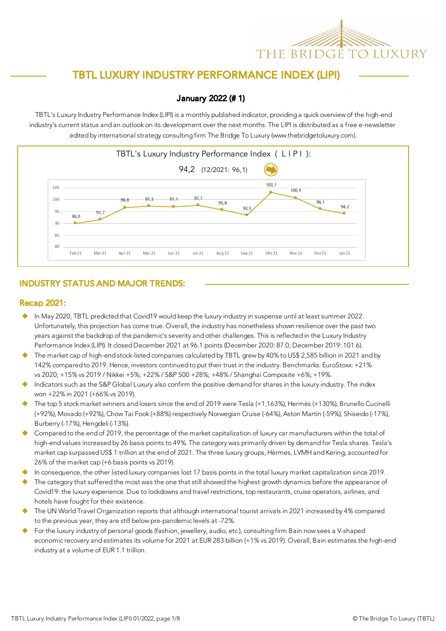# THE BRIDGE TO LUXURY

# TBTL LUXURY INDUSTRY PERFORMANCE INDEX (LIPI)

#### January 2022 (# 1)

TBTL's Luxury Industry Performance Index (LIPI) is a monthly published indicator, providing a quick overview of the high-end industry's current status and an outlook on its development over the next months. The LIPI is distributed as a free e-newsletter edited by international strategy consulting firm The Bridge To Luxury (www.thebridgetoluxury.com).



## INDUSTRY STATUS AND MAJOR TRENDS:

#### Recap 2021:

- u In May 2020, TBTL predicted that Covid19 would keep the luxury industry in suspense until at least summer 2022. Unfortunately, this projection has come true. Overall, the industry has nonetheless shown resilience over the past two years against the backdrop of the pandemic's severity and other challenges. This is reflected in the Luxury Industry Performance Index (LIPI). It closed December 2021 at 96.1 points (December 2020: 87.0; December 2019: 101.6).
- The market cap of high-end stock-listed companies calculated by TBTL grew by 40% to US\$ 2,585 billion in 2021 and by 142% compared to 2019. Hence, investors continued to put their trust in the industry. Benchmarks: EuroStoxx: +21% vs 2020; +15% vs 2019 / Nikkei +5%; +22% / S&P 500 +28%; +48% / Shanghai Composite +6%; +19%.
- Indicators such as the S&P Global Luxury also confirm the positive demand for shares in the luxury industry. The index won +22% in 2021 (+66% vs 2019).
- u The top 5 stock market winners and losers since the end of 2019 were Tesla (+1,163%), Hermès (+130%), Brunello Cucinelli (+92%), Movado (+92%), Chow Tai Fook (+88%) respectively Norwegian Cruise (-64%), Aston Martin (-59%), Shiseido (-17%), Burberry (-17%), Hengdeli (-13%).
- Compared to the end of 2019, the percentage of the market capitalization of luxury car manufacturers within the total of high-end values increased by 26 basis points to 49%. The category was primarily driven by demand for Tesla shares. Tesla's market cap surpassed US\$ 1 trillion at the end of 2021. The three luxury groups, Hèrmes, LVMH and Kering, accounted for 26% of the market cap (+6 basis points vs 2019).
- In consequence, the other listed luxury companies lost 17 basis points in the total luxury market capitalization since 2019.
- The category that suffered the most was the one that still showed the highest growth dynamics before the appearance of Covid19: the luxury experience. Due to lockdowns and travel restrictions, top restaurants, cruise operators, airlines, and hotels have fought for their existence.
- The UN World Travel Organization reports that although international tourist arrivals in 2021 increased by 4% compared to the previous year, they are still below pre-pandemic levels at -72%.
- For the luxury industry of personal goods (fashion, jewellery, audio, etc.), consulting firm Bain now sees a V-shaped economic recovery and estimates its volume for 2021 at EUR 283 billion (+1% vs 2019). Overall, Bain estimates the high-end industry at a volume of EUR 1.1 trillion.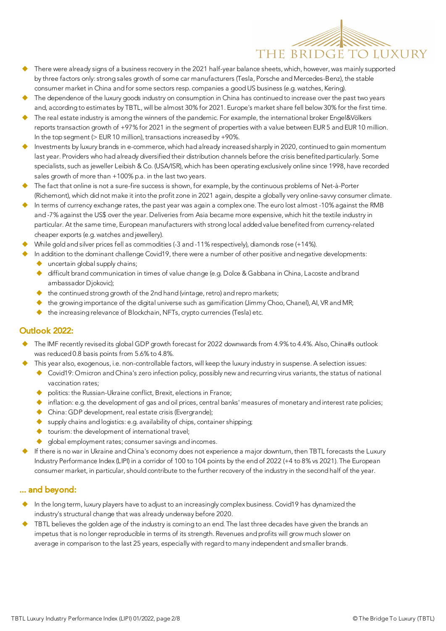

- There were already signs of a business recovery in the 2021 half-year balance sheets, which, however, was mainly supported by three factors only: strong sales growth of some car manufacturers (Tesla, Porsche and Mercedes-Benz), the stable consumer market in China and for some sectors resp. companies a good US business (e.g. watches, Kering).
- The dependence of the luxury goods industry on consumption in China has continued to increase over the past two years and, according to estimates by TBTL, will be almost 30% for 2021. Europe's market share fell below 30% for the first time.
- The real estate industry is among the winners of the pandemic. For example, the international broker Engel&Völkers reports transaction growth of +97% for 2021 in the segment of properties with a value between EUR 5 and EUR 10 million. In the top segment ( $>$  EUR 10 million), transactions increased by +90%.
- Investments by luxury brands in e-commerce, which had already increased sharply in 2020, continued to gain momentum last year. Providers who had already diversified their distribution channels before the crisis benefited particularly. Some specialists, such as jeweller Leibish & Co. (USA/ISR), which has been operating exclusively online since 1998, have recorded sales growth of more than +100% p.a. in the last two years.
- The fact that online is not a sure-fire success is shown, for example, by the continuous problems of Net-à-Porter (Richemont), which did not make it into the profit zone in 2021 again, despite a globally very online-savvy consumer climate.
- In terms of currency exchange rates, the past year was again a complex one. The euro lost almost -10% against the RMB and -7% against the US\$ over the year. Deliveries from Asia became more expensive, which hit the textile industry in particular. At the same time, European manufacturers with strong local added value benefited from currency-related cheaper exports (e.g. watches and jewellery).
- While gold and silver prices fell as commodities (-3 and -11% respectively), diamonds rose (+14%).
- In addition to the dominant challenge Covid19, there were a number of other positive and negative developments:
	- $\blacklozenge$  uncertain global supply chains;
	- ◆ difficult brand communication in times of value change (e.g. Dolce & Gabbana in China, Lacoste and brand ambassador Djokovic);
	- $\blacklozenge$  the continued strong growth of the 2nd hand (vintage, retro) and repro markets;
	- u the growing importance of the digital universe such as gamification (Jimmy Choo, Chanel), AI, VR and MR;
	- $\blacklozenge$  the increasing relevance of Blockchain, NFTs, crypto currencies (Tesla) etc.

#### Outlook 2022:

- The IMF recently revised its global GDP growth forecast for 2022 downwards from 4.9% to 4.4%. Also, China#s outlook was reduced 0.8 basis points from 5.6% to 4.8%.
	- This year also, exogenous, i.e. non-controllable factors, will keep the luxury industry in suspense. A selection issues:
		- ◆ Covid19: Omicron and China's zero infection policy, possibly new and recurring virus variants, the status of national vaccination rates;
		- $\bullet$  politics: the Russian-Ukraine conflict, Brexit, elections in France;
		- $\blacklozenge$  inflation: e.g. the development of gas and oil prices, central banks' measures of monetary and interest rate policies;
		- $\blacklozenge$  China: GDP development, real estate crisis (Evergrande);
		- $\bullet$  supply chains and logistics: e.g. availability of chips, container shipping;
		- $\bullet$  tourism: the development of international travel;
		- global employment rates; consumer savings and incomes.
- If there is no war in Ukraine and China's economy does not experience a major downturn, then TBTL forecasts the Luxury Industry Performance Index (LIPI) in a corridor of 100 to 104 points by the end of 2022 (+4 to 8% vs 2021). The European consumer market, in particular, should contribute to the further recovery of the industry in the second half of the year.

#### ... and beyond:

- In the long term, luxury players have to adjust to an increasingly complex business. Covid19 has dynamized the industry's structural change that was already underway before 2020.
- TBTL believes the golden age of the industry is coming to an end. The last three decades have given the brands an impetus that is no longer reproducible in terms of its strength. Revenues and profits will grow much slower on average in comparison to the last 25 years, especially with regard to many independent and smaller brands.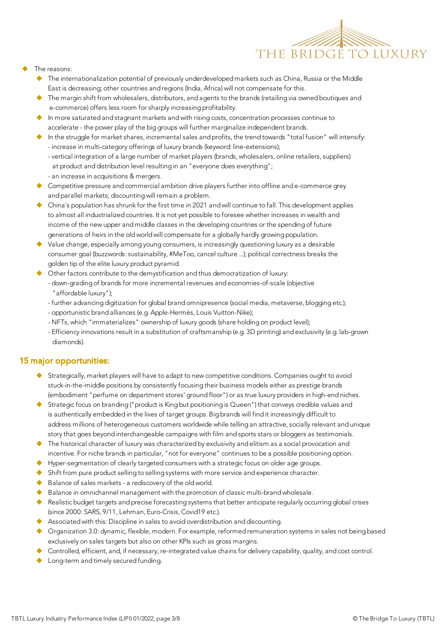

- The reasons:
	- $\blacklozenge$  The internationalization potential of previously underdeveloped markets such as China, Russia or the Middle East is decreasing; other countries and regions (India, Africa) will not compensate for this.
	- The margin shift from wholesalers, distributors, and agents to the brands (retailing via owned boutiques and e-commerce) offers less room for sharply increasing profitability.
	- In more saturated and stagnant markets and with rising costs, concentration processes continue to accelerate - the power play of the big groups will further marginalize independent brands.
	- $\blacklozenge$  In the struggle for market shares, incremental sales and profits, the trend towards "total fusion" will intensify: - increase in multi-category offerings of luxury brands (keyword: line-extensions);
		- vertical integration of a large number of market players (brands, wholesalers, online retailers, suppliers) at product and distribution level resulting in an "everyone does everything";
		- an increase in acquisitions & mergers.
	- ◆ Competitive pressure and commercial ambition drive players further into offline and e-commerce grey and parallel markets; discounting will remain a problem.
	- $\blacklozenge$  China's population has shrunk for the first time in 2021 and will continue to fall. This development applies to almost all industrialized countries. It is not yet possible to foresee whether increases in wealth and income of the new upper and middle classes in the developing countries or the spending of future generations of heirs in the old world will compensate for a globally hardly growing population.
	- Value change, especially among young consumers, is increasingly questioning luxury as a desirable consumer goal (buzzwords: sustainability, #MeToo, cancel culture ...); political correctness breaks the golden tip of the elite luxury product pyramid.
	- Other factors contribute to the demystification and thus democratization of luxury:
		- down-grading of brands for more incremental revenues and economies-of-scale (objective "affordable luxury");
		- further advancing digitization for global brand omnipresence (social media, metaverse, blogging etc.);
		- opportunistic brand alliances (e.g. Apple-Hermès, Louis Vuitton-Nike);
		- NFTs, which "immaterializes" ownership of luxury goods (share holding on product level);
		- Efficiency innovations result in a substitution of craftsmanship (e.g. 3D printing) and exclusivity (e.g. lab-grown diamonds).

#### 15 major opportunities:

- ◆ Strategically, market players will have to adapt to new competitive conditions. Companies ought to avoid stuck-in-the-middle positions by consistently focusing their business models either as prestige brands (embodiment "perfume on department stores' ground floor") or as true luxury providers in high-end niches.
- ◆ Strategic focus on branding ("product is King but positioning is Queen") that conveys credible values and is authentically embedded in the lives of target groups. Big brands will find it increasingly difficult to address millions of heterogeneous customers worldwide while telling an attractive, socially relevant and unique story that goes beyond interchangeable campaigns with film and sports stars or bloggers as testimonials.
- The historical character of luxury was characterized by exclusivity and elitism as a social provocation and incentive. For niche brands in particular, "not for everyone" continues to be a possible positioning option.
- Hyper-segmentation of clearly targeted consumers with a strategic focus on older age groups.
- $\blacklozenge$  Shift from pure product selling to selling systems with more service and experience character.
- $\blacklozenge$  Balance of sales markets a rediscovery of the old world.
- Balance in omnichannel management with the promotion of classic multi-brand wholesale.
- Realistic budget targets and precise forecasting systems that better anticipate regularly occurring global crises (since 2000: SARS, 9/11, Lehman, Euro-Crisis, Covid19 etc.).
- $\blacklozenge$  Associated with this: Discipline in sales to avoid overdistribution and discounting.
- ◆ Organization 3.0: dynamic, flexible, modern. For example, reformed remuneration systems in sales not being based exclusively on sales targets but also on other KPIs such as gross margins.
- $\blacklozenge$  Controlled, efficient, and, if necessary, re-integrated value chains for delivery capability, quality, and cost control.
- $\blacklozenge$  Long-term and timely secured funding.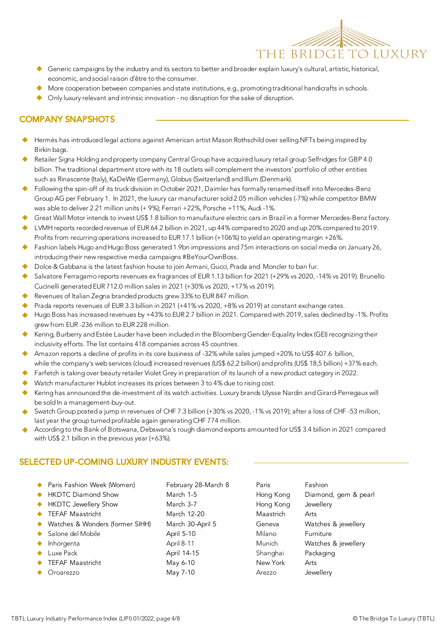

- Generic campaigns by the industry and its sectors to better and broader explain luxury's cultural, artistic, historical, economic, and social raison d'être to the consumer.
- More cooperation between companies and state institutions, e.g., promoting traditional handicrafts in schools.
- Only luxury relevant and intrinsic innovation no disruption for the sake of disruption.

## COMPANY SNAPSHOTS:

- Hermès has introduced legal actions against American artist Mason Rothschild over selling NFTs being inspired by Birkin bags.
- Retailer Signa Holding and property company Central Group have acquired luxury retail group Selfridges for GBP 4.0 billion. The traditional department store with its 18 outlets will complement the investors' portfolio of other entities such as Rinascente (Italy), KaDeWe (Germany), Globus (Switzerland) and Illum (Denmark).
- Following the spin-off of its truck division in October 2021, Daimler has formally renamed itself into Mercedes-Benz Group AG per February 1. In 2021, the luxury car manufacturer sold 2.05 million vehicles (-7%) while competitor BMW was able to deliver 2.21 million units (+ 9%); Ferrari +22%, Porsche +11%, Audi -1%.
- Great Wall Motor intends to invest US\$ 1.8 billion to manufacture electric cars in Brazil in a former Mercedes-Benz factory.
- LVMH reports recorded revenue of EUR 64.2 billion in 2021, up 44% compared to 2020 and up 20% compared to 2019. Profits from recurring operations increased to EUR 17.1 billion (+106%) to yield an operating margin +26%.
- Fashion labels Hugo and Hugo Boss generated 1.9bn impressions and 75m interactions on social media on January 26, introducing their new respective media campaigns #BeYourOwnBoss.
- Dolce & Gabbana is the latest fashion house to join Armani, Gucci, Prada and Moncler to ban fur.
- Salvatore Ferragamo reports revenues ex fragrances of EUR 1.13 billion for 2021 (+29% vs 2020, -14% vs 2019). Brunello Cucinelli generated EUR 712.0 million sales in 2021 (+30% vs 2020, +17% vs 2019).
- Revenues of Italian Zegna branded products grew 33% to EUR 847 million.
- Prada reports revenues of EUR 3.3 billion in 2021 (+41% vs 2020, +8% vs 2019) at constant exchange rates.
- Hugo Boss has increased revenues by +43% to EUR 2.7 billion in 2021. Compared with 2019, sales declined by -1%. Profits grew from EUR -236 million to EUR 228 million.
- Kering, Burberry and Estée Lauder have been included in the Bloomberg Gender-Equality Index (GEI) recognizing their inclusivity efforts. The list contains 418 companies across 45 countries.
- Amazon reports a decline of profits in its core business of -32% while sales jumped +20% to US\$ 407.6 billion, while the company's web services (cloud) increased revenues (US\$ 62,2 billion) and profits (US\$ 18,5 billion) +37% each.
- Farfetch is taking over beauty retailer Violet Grey in preparation of its launch of a new product category in 2022.
- Watch manufacturer Hublot increases its prices between 3 to 4% due to rising cost.
- Kering has announced the de-investment of its watch activities. Luxury brands Ulysse Nardin and Girard-Perregaux will be sold In a management-buy-out.
- Swatch Group posted a jump in revenues of CHF 7.3 billion (+30% vs 2020, -1% vs 2019); after a loss of CHF -53 million, last year the group turned profitable again generating CHF 774 million.
- According to the Bank of Botswana, Debswana's rough diamond exports amounted for US\$ 3.4 billion in 2021 compared with US\$ 2.1 billion in the previous year (+63%).

# SELECTED UP-COMING LUXURY INDUSTRY EVENTS:

|           | ◆ Paris Fashion Week (Women)    | February 28-March 8 | Paris     | Fashion              |
|-----------|---------------------------------|---------------------|-----------|----------------------|
|           | <b>HKDTC Diamond Show</b>       | March 1-5           | Hong Kong | Diamond, gem & pearl |
| $\bullet$ | <b>HKDTC Jewellery Show</b>     | March 3-7           | Hong Kong | Jewellery            |
|           | <b>TEFAF Maastricht</b>         | March 12-20         | Maastrich | Arts                 |
| $\bullet$ | Watches & Wonders (former SIHH) | March 30-April 5    | Geneva    | Watches & jewellery  |
|           | Salone del Mobile               | April 5-10          | Milano    | Furniture            |
|           | Inhorgenta                      | April 8-11          | Munich    | Watches & jewellery  |
|           | Luxe Pack                       | April 14-15         | Shanghai  | Packaging            |
|           | <b>TEFAF Maastricht</b>         | May 6-10            | New York  | Arts                 |
|           | Oroarezzo                       | May 7-10            | Arezzo    | Jewellery            |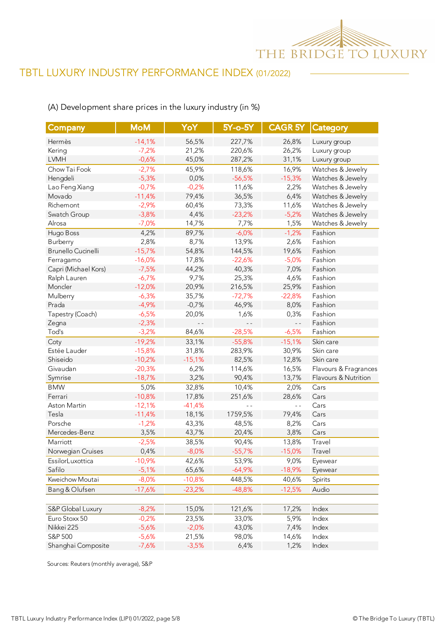

## (A) Development share prices in the luxury industry (in %)

| <b>Company</b>       | <b>MoM</b> | YoY      | 5Y-o-5Y  | CAGR <sub>5Y</sub> | Category              |
|----------------------|------------|----------|----------|--------------------|-----------------------|
| Hermès               | $-14,1%$   | 56,5%    | 227,7%   | 26,8%              | Luxury group          |
| Kering               | $-7,2%$    | 21,2%    | 220,6%   | 26,2%              | Luxury group          |
| <b>LVMH</b>          | $-0,6%$    | 45,0%    | 287,2%   | 31,1%              | Luxury group          |
| Chow Tai Fook        | $-2,7%$    | 45,9%    | 118,6%   | 16,9%              | Watches & Jewelry     |
| Hengdeli             | $-5,3%$    | 0,0%     | $-56,5%$ | $-15,3%$           | Watches & Jewelry     |
| Lao Feng Xiang       | $-0,7%$    | $-0,2%$  | 11,6%    | 2,2%               | Watches & Jewelry     |
| Movado               | $-11,4%$   | 79,4%    | 36,5%    | 6,4%               | Watches & Jewelry     |
| Richemont            | $-2,9%$    | 60,4%    | 73,3%    | 11,6%              | Watches & Jewelry     |
| Swatch Group         | $-3,8%$    | 4,4%     | $-23,2%$ | $-5,2%$            | Watches & Jewelry     |
| Alrosa               | $-7,0%$    | 14,7%    | 7,7%     | 1,5%               | Watches & Jewelry     |
| Hugo Boss            | 4,2%       | 89,7%    | $-6,0%$  | $-1,2%$            | Fashion               |
| Burberry             | 2,8%       | 8,7%     | 13,9%    | 2,6%               | Fashion               |
| Brunello Cucinelli   | $-15,7%$   | 54,8%    | 144,5%   | 19,6%              | Fashion               |
| Ferragamo            | $-16,0%$   | 17,8%    | $-22,6%$ | $-5,0%$            | Fashion               |
| Capri (Michael Kors) | $-7,5%$    | 44,2%    | 40,3%    | 7,0%               | Fashion               |
| Ralph Lauren         | $-6,7%$    | 9,7%     | 25,3%    | 4,6%               | Fashion               |
| Moncler              | $-12,0%$   | 20,9%    | 216,5%   | 25,9%              | Fashion               |
| Mulberry             | $-6,3%$    | 35,7%    | $-72,7%$ | $-22,8%$           | Fashion               |
| Prada                | $-4,9%$    | $-0,7%$  | 46,9%    | 8,0%               | Fashion               |
| Tapestry (Coach)     | $-6,5%$    | 20,0%    | 1,6%     | 0,3%               | Fashion               |
| Zegna                | $-2,3%$    | $-$      |          | $ -$               | Fashion               |
| Tod's                | $-3,2%$    | 84,6%    | $-28,5%$ | $-6,5%$            | Fashion               |
| Coty                 | $-19,2%$   | 33,1%    | $-55,8%$ | $-15,1%$           | Skin care             |
| Estée Lauder         | $-15,8%$   | 31,8%    | 283,9%   | 30,9%              | Skin care             |
| Shiseido             | $-10,2%$   | $-15,1%$ | 82,5%    | 12,8%              | Skin care             |
| Givaudan             | $-20,3%$   | 6,2%     | 114,6%   | 16,5%              | Flavours & Fragrances |
| Symrise              | $-18,7%$   | 3,2%     | 90,4%    | 13,7%              | Flavours & Nutrition  |
| <b>BMW</b>           | 5,0%       | 32,8%    | 10,4%    | 2,0%               | Cars                  |
| Ferrari              | $-10,8%$   | 17,8%    | 251,6%   | 28,6%              | Cars                  |
| Aston Martin         | $-12,1%$   | $-41,4%$ |          | $\overline{a}$     | Cars                  |
| Tesla                | $-11,4%$   | 18,1%    | 1759,5%  | 79,4%              | Cars                  |
| Porsche              | $-1,2%$    | 43,3%    | 48,5%    | 8,2%               | Cars                  |
| Mercedes-Benz        | 3,5%       | 43,7%    | 20,4%    | 3,8%               | Cars                  |
| Marriott             | $-2,5%$    | 38,5%    | 90,4%    | 13,8%              | Travel                |
| Norwegian Cruises    | 0,4%       | $-8,0%$  | $-55,7%$ | $-15,0%$           | Travel                |
| EssilorLuxottica     | $-10,9%$   | 42,6%    | 53,9%    | 9,0%               | Eyewear               |
| Safilo               | $-5,1%$    | 65,6%    | $-64,9%$ | $-18,9%$           | Eyewear               |
| Kweichow Moutai      | $-8,0%$    | $-10,8%$ | 448,5%   | 40,6%              | Spirits               |
| Bang & Olufsen       | $-17,6%$   | $-23,2%$ | $-48,8%$ | $-12,5%$           | Audio                 |
|                      |            |          |          |                    |                       |
| S&P Global Luxury    | $-8,2%$    | 15,0%    | 121,6%   | 17,2%              | Index                 |
| Euro Stoxx 50        | $-0,2%$    | 23,5%    | 33,0%    | 5,9%               | Index                 |
| Nikkei 225           | $-5,6%$    | $-2,0%$  | 43,0%    | 7,4%               | Index                 |
| S&P 500              | $-5,6%$    | 21,5%    | 98,0%    | 14,6%              | Index                 |
| Shanghai Composite   | $-7,6%$    | $-3,5%$  | 6,4%     | 1,2%               | Index                 |

Sources: Reuters (monthly average), S&P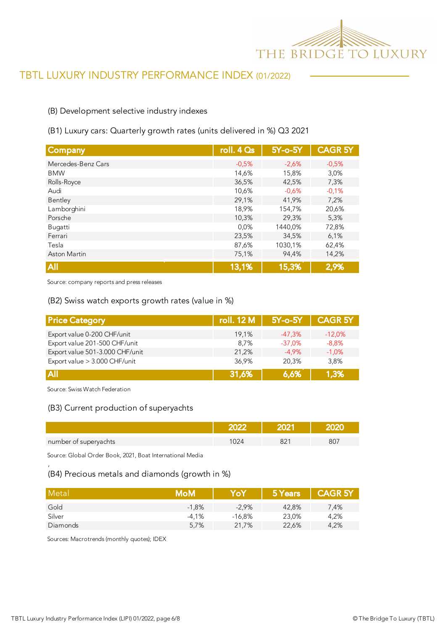

#### (B) Development selective industry indexes

#### (B1) Luxury cars: Quarterly growth rates (units delivered in %) Q3 2021

| Company             | roll. $4Qs$ | $5Y$ -o- $5Y$ | <b>CAGR 5Y</b> |
|---------------------|-------------|---------------|----------------|
| Mercedes-Benz Cars  | $-0,5%$     | $-2,6%$       | $-0,5%$        |
| <b>BMW</b>          | 14,6%       | 15,8%         | 3,0%           |
| Rolls-Royce         | 36,5%       | 42,5%         | 7,3%           |
| Audi                | 10,6%       | $-0.6%$       | $-0,1%$        |
| Bentley             | 29,1%       | 41,9%         | 7,2%           |
| Lamborghini         | 18,9%       | 154,7%        | 20,6%          |
| Porsche             | 10,3%       | 29,3%         | 5,3%           |
| Bugatti             | 0.0%        | 1440,0%       | 72,8%          |
| Ferrari             | 23,5%       | 34,5%         | 6,1%           |
| Tesla               | 87,6%       | 1030,1%       | 62,4%          |
| <b>Aston Martin</b> | 75,1%       | 94,4%         | 14,2%          |
| <b>All</b>          | 13,1%       | 15,3%         | 2,9%           |

Source: company reports and press releases

#### (B2) Swiss watch exports growth rates (value in %)

| <b>Price Category</b>           | <b>roll. 12 M</b> | $5Y$ -o- $5Y$ | <b>CAGR 5Y</b> |
|---------------------------------|-------------------|---------------|----------------|
| Export value 0-200 CHF/unit     | 19.1%             | $-47.3%$      | $-12.0%$       |
| Export value 201-500 CHF/unit   | 8.7%              | $-37.0%$      | $-8.8%$        |
| Export value 501-3.000 CHF/unit | 21,2%             | $-4.9%$       | $-1.0%$        |
| Export value > 3.000 CHF/unit   | 36.9%             | 20.3%         | 3.8%           |
| <b>All</b>                      | 31,6%             | 6.6%          | 1,3%           |

Source: Swiss Watch Federation

'

#### (B3) Current production of superyachts

| number of superyachts |  | ור |
|-----------------------|--|----|

Source: Global Order Book, 2021, Boat International Media

# (B4) Precious metals and diamonds (growth in %)

| Metal    | MoM     | YoY      | 5 Years | <b>CAGR 5Y</b> |
|----------|---------|----------|---------|----------------|
| Gold     | $-1.8%$ | $-2.9\%$ | 42.8%   | 7,4%           |
| Silver   | $-4.1%$ | $-16.8%$ | 23,0%   | 4,2%           |
| Diamonds | 5.7%    | 21.7%    | 22,6%   | 4,2%           |

Sources: Macrotrends (monthly quotes); IDEX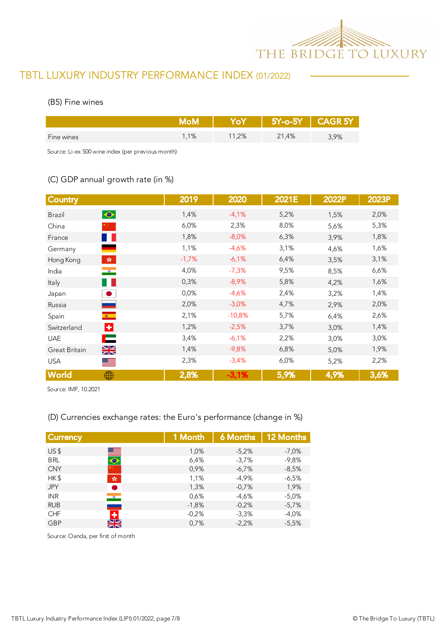

#### (B5) Fine wines

|            |       |       |       | $5Y$ -o- $5Y$ $\vert$ CAGR $5Y$ |
|------------|-------|-------|-------|---------------------------------|
| Fine wines | $1\%$ | 11,2% | 21,4% | 3,9%                            |

Source: Li-ex 500 wine index (per previous month)

# (C) GDP annual growth rate (in %)

| <b>Country</b>                              | 2019         | 2020     | 2021E | 2022P | 2023P |
|---------------------------------------------|--------------|----------|-------|-------|-------|
| $\bullet$<br><b>Brazil</b>                  | 1,4%         | $-4,1%$  | 5,2%  | 1,5%  | 2,0%  |
| China                                       | 6,0%         | 2,3%     | 8,0%  | 5,6%  | 5,3%  |
| France                                      | 1,8%<br>a ka | $-8,0%$  | 6,3%  | 3,9%  | 1,8%  |
| Germany                                     | 1,1%         | $-4,6%$  | 3,1%  | 4,6%  | 1,6%  |
| $\mathcal{L}_{\mathcal{R}}$<br>Hong Kong    | $-1,7%$      | $-6,1%$  | 6,4%  | 3,5%  | 3,1%  |
| $\bullet$<br>India                          | 4,0%         | $-7,3%$  | 9,5%  | 8,5%  | 6,6%  |
| Italy                                       | 0,3%<br>n e  | $-8,9%$  | 5,8%  | 4,2%  | 1,6%  |
| $\bullet$<br>Japan                          | 0,0%         | $-4,6%$  | 2,4%  | 3,2%  | 1,4%  |
| Russia                                      | 2,0%         | $-3,0%$  | 4,7%  | 2,9%  | 2,0%  |
| $\langle \hat{\mathbf{x}} \rangle$<br>Spain | 2,1%         | $-10,8%$ | 5,7%  | 6,4%  | 2,6%  |
| Ŀ.<br>Switzerland                           | 1,2%         | $-2,5%$  | 3,7%  | 3,0%  | 1,4%  |
| <b>UAE</b>                                  | ⊏<br>3,4%    | $-6,1%$  | 2,2%  | 3,0%  | 3,0%  |
| $\frac{\sum x}{\sum x}}$<br>Great Britain   | 1,4%         | $-9,8%$  | 6,8%  | 5,0%  | 1,9%  |
| <b>USA</b><br>▀                             | 2,3%         | $-3,4%$  | 6,0%  | 5,2%  | 2,2%  |
| World<br>⊕                                  | 2,8%         | $-3,1%$  | 5,9%  | 4,9%  | 3,6%  |

Source: IMF, 10.2021

#### (D) Currencies exchange rates: the Euro's performance (change in %)

| <b>Currency</b> |                              | 1 Month | <b>6 Months</b> | <b>12 Months</b> |
|-----------------|------------------------------|---------|-----------------|------------------|
| US <sub>5</sub> |                              | 1,0%    | $-5,2%$         | $-7,0%$          |
| <b>BRL</b>      | $\blacksquare$               | 6,4%    | $-3,7%$         | $-9,8%$          |
| <b>CNY</b>      |                              | 0,9%    | $-6.7%$         | $-8,5%$          |
| HK\$            | $\frac{\sqrt{3}}{2\sqrt{3}}$ | 1,1%    | $-4,9%$         | $-6,5%$          |
| <b>JPY</b>      | $\bullet$                    | 1,3%    | $-0.7%$         | 1,9%             |
| <b>INR</b>      | $\bullet$                    | 0,6%    | $-4,6%$         | $-5,0\%$         |
| <b>RUB</b>      |                              | $-1,8%$ | $-0.2%$         | $-5,7%$          |
| <b>CHF</b>      |                              | $-0.2%$ | $-3,3%$         | $-4.0%$          |
| <b>GBP</b>      | ZN                           | 0,7%    | $-2,2%$         | $-5,5%$          |
|                 | NZ.                          |         |                 |                  |

Source: Oanda, per first of month